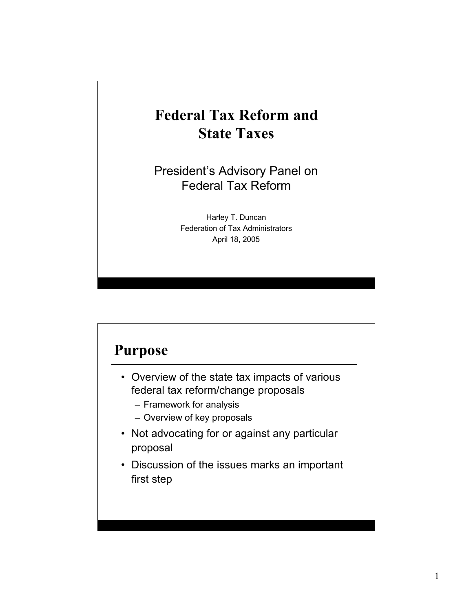# Federal Tax Reform and State Taxes

President's Advisory Panel on Federal Tax Reform

> Harley T. Duncan Federation of Tax Administrators April 18, 2005

### Purpose

- Overview of the state tax impacts of various federal tax reform/change proposals
	- Framework for analysis
	- Overview of key proposals
- Not advocating for or against any particular proposal
- Discussion of the issues marks an important first step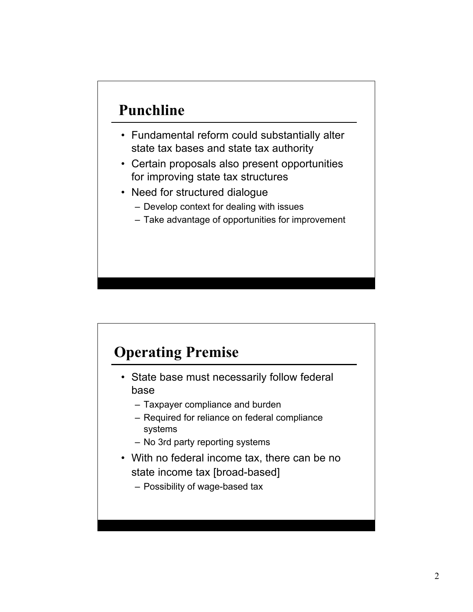# Punchline

- Fundamental reform could substantially alter state tax bases and state tax authority
- Certain proposals also present opportunities for improving state tax structures
- Need for structured dialogue
	- Develop context for dealing with issues
	- Take advantage of opportunities for improvement

# Operating Premise

- State base must necessarily follow federal base
	- Taxpayer compliance and burden
	- Required for reliance on federal compliance systems
	- No 3rd party reporting systems
- With no federal income tax, there can be no state income tax [broad-based]
	- Possibility of wage-based tax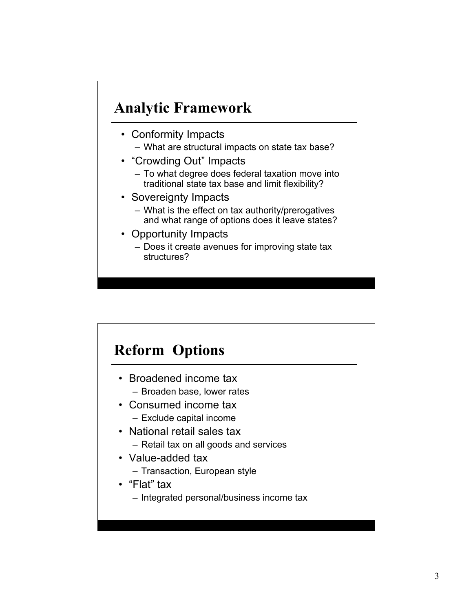### Analytic Framework

- Conformity Impacts
	- What are structural impacts on state tax base?
- "Crowding Out" Impacts
	- To what degree does federal taxation move into traditional state tax base and limit flexibility?
- Sovereignty Impacts
	- What is the effect on tax authority/prerogatives and what range of options does it leave states?
- Opportunity Impacts
	- Does it create avenues for improving state tax structures?

## Reform Options

- Broadened income tax – Broaden base, lower rates
- Consumed income tax
	- Exclude capital income
- National retail sales tax – Retail tax on all goods and services
- Value-added tax
	- Transaction, European style
- "Flat" tax
	- Integrated personal/business income tax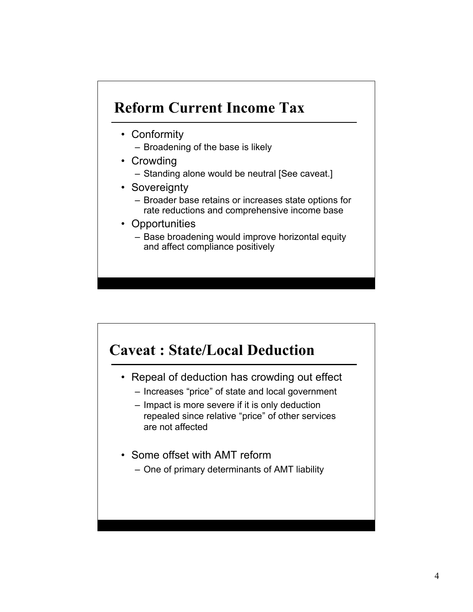## Reform Current Income Tax

- Conformity
	- Broadening of the base is likely
- Crowding
	- Standing alone would be neutral [See caveat.]
- Sovereignty
	- Broader base retains or increases state options for rate reductions and comprehensive income base
- Opportunities
	- Base broadening would improve horizontal equity and affect compliance positively

### Caveat : State/Local Deduction

- Repeal of deduction has crowding out effect
	- Increases "price" of state and local government
	- Impact is more severe if it is only deduction repealed since relative "price" of other services are not affected
- Some offset with AMT reform
	- One of primary determinants of AMT liability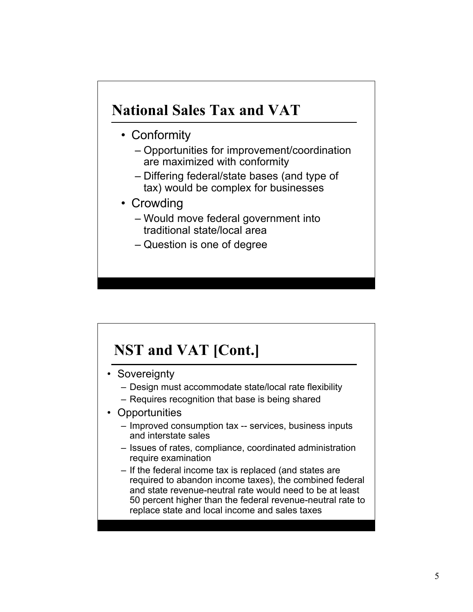### National Sales Tax and VAT

- Conformity
	- Opportunities for improvement/coordination are maximized with conformity
	- Differing federal/state bases (and type of tax) would be complex for businesses
- Crowding
	- Would move federal government into traditional state/local area
	- Question is one of degree

# NST and VAT [Cont.]

- Sovereignty
	- Design must accommodate state/local rate flexibility
	- Requires recognition that base is being shared
- Opportunities
	- Improved consumption tax -- services, business inputs and interstate sales
	- Issues of rates, compliance, coordinated administration require examination
	- If the federal income tax is replaced (and states are required to abandon income taxes), the combined federal and state revenue-neutral rate would need to be at least 50 percent higher than the federal revenue-neutral rate to replace state and local income and sales taxes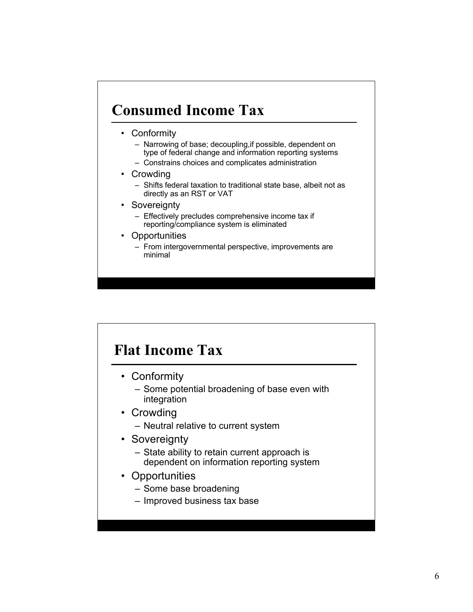# Consumed Income Tax

- Conformity
	- Narrowing of base; decoupling,if possible, dependent on type of federal change and information reporting systems
	- Constrains choices and complicates administration
- Crowding
	- Shifts federal taxation to traditional state base, albeit not as directly as an RST or VAT
- Sovereignty
	- Effectively precludes comprehensive income tax if reporting/compliance system is eliminated
- **Opportunities** 
	- From intergovernmental perspective, improvements are minimal

## Flat Income Tax

- Conformity
	- Some potential broadening of base even with integration
- Crowding
	- Neutral relative to current system
- Sovereignty
	- State ability to retain current approach is dependent on information reporting system
- Opportunities
	- Some base broadening
	- Improved business tax base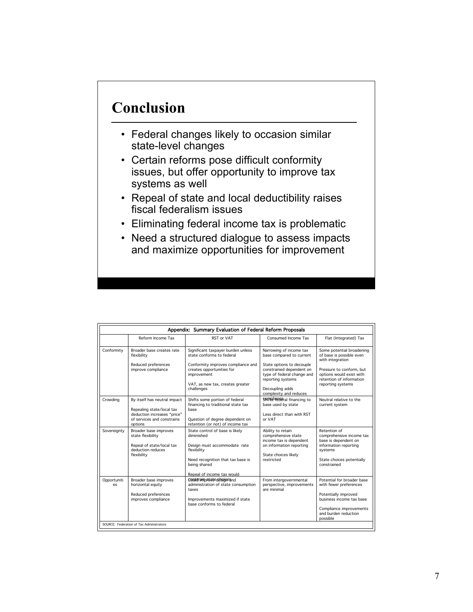# Conclusion

- Federal changes likely to occasion similar state-level changes
- Certain reforms pose difficult conformity issues, but offer opportunity to improve tax systems as well
- Repeal of state and local deductibility raises fiscal federalism issues
- Eliminating federal income tax is problematic
- Need a structured dialogue to assess impacts and maximize opportunities for improvement

| Appendix: Summary Evaluation of Federal Reform Proposals |                                                                                                                                   |                                                                                                                                                                                                     |                                                                                                                                                                                                              |                                                                                                                                                                                    |  |  |  |
|----------------------------------------------------------|-----------------------------------------------------------------------------------------------------------------------------------|-----------------------------------------------------------------------------------------------------------------------------------------------------------------------------------------------------|--------------------------------------------------------------------------------------------------------------------------------------------------------------------------------------------------------------|------------------------------------------------------------------------------------------------------------------------------------------------------------------------------------|--|--|--|
|                                                          | Reform Income Tax                                                                                                                 | RST or VAT                                                                                                                                                                                          | Consumed Income Tax                                                                                                                                                                                          | Flat (Integrated) Tax                                                                                                                                                              |  |  |  |
| Conformity                                               | Broader base creates rate<br>flexibility<br>Reduced preferences<br>improve compliance                                             | Significant taxpayer burden unless<br>state conforms to federal<br>Conformity improves compliance and<br>creates opportunities for<br>improvement<br>VAT, as new tax, creates greater<br>challenges | Narrowing of income tax<br>base compared to current<br>State options to decouple<br>constrained dependent on<br>type of federal change and<br>reporting systems<br>Decoupling adds<br>complexity and reduces | Some potential broadening<br>of base is possible even<br>with integration<br>Pressure to conform, but<br>options would exist with<br>retention of information<br>reporting systems |  |  |  |
| Crowding                                                 | By itself has neutral impact<br>Repealing state/local tax<br>deduction increases "price"<br>of services and constrains<br>options | Shifts some portion of federal<br>financing to traditional state tax<br>base<br>Question of degree dependent on<br>retention (or not) of income tax                                                 | SAINB <sup>li</sup> BSE al financing to<br>base used by state<br>Less direct than with RST<br>or VAT                                                                                                         | Neutral relative to the<br>current system                                                                                                                                          |  |  |  |
| Sovereignty                                              | Broader base improves<br>state flexibility<br>Repeal of state/local tax<br>deduction reduces<br>flexibility                       | State control of base is likely<br>diminished<br>Design must accommodate rate<br>flexibility<br>Need recognition that tax base is<br>being shared<br>Repeal of income tax would                     | Ability to retain<br>comprehensive state<br>income tax is dependent<br>on information reporting<br>State choices likely<br>restricted                                                                        | Retention of<br>comprehensive income tax<br>base is dependent on<br>information reporting<br>systems<br>State choices potentially<br>constrained                                   |  |  |  |
| Opportuniti<br>es.                                       | Broader base improves<br>horizontal equity<br>Reduced preferences<br>improves compliance                                          | <b>COUNTRIDESPECTS MIRPS IN</b><br>administration of state consumption<br>taxes<br>Improvements maximized if state<br>base conforms to federal                                                      | From intergovernmental<br>perspective, improvements<br>are minimal                                                                                                                                           | Potential for broader base<br>with fewer preferences<br>Potentially improved<br>business income tax base<br>Compliance improvements<br>and burden reduction<br>possible            |  |  |  |
| SOURCE: Federation of Tax Administrators                 |                                                                                                                                   |                                                                                                                                                                                                     |                                                                                                                                                                                                              |                                                                                                                                                                                    |  |  |  |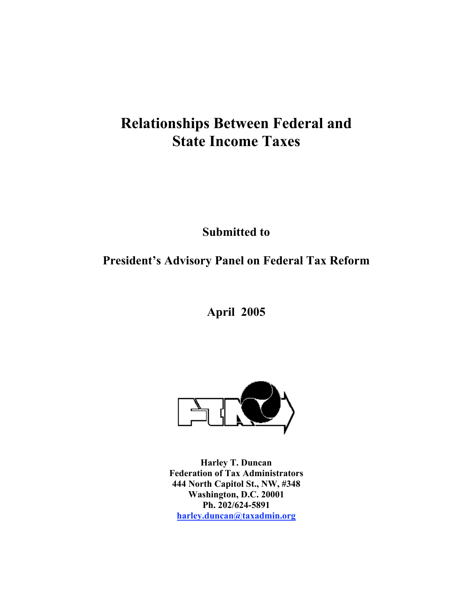## Relationships Between Federal and State Income Taxes

Submitted to

### President's Advisory Panel on Federal Tax Reform

April 2005



Harley T. Duncan Federation of Tax Administrators 444 North Capitol St., NW, #348 Washington, D.C. 20001 Ph. 202/624-5891 harley.duncan@taxadmin.org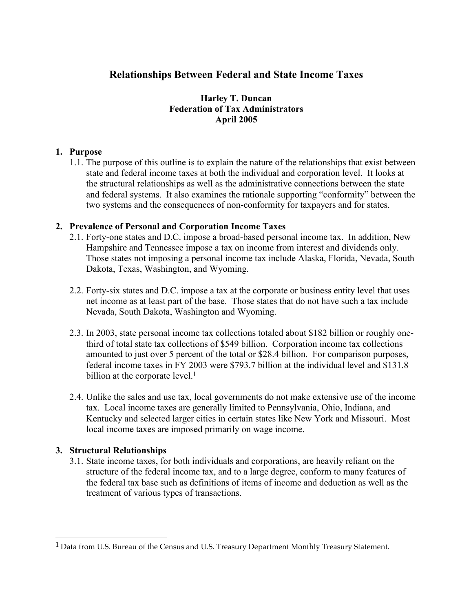### Relationships Between Federal and State Income Taxes

#### Harley T. Duncan Federation of Tax Administrators April 2005

#### 1. Purpose

1.1. The purpose of this outline is to explain the nature of the relationships that exist between state and federal income taxes at both the individual and corporation level. It looks at the structural relationships as well as the administrative connections between the state and federal systems. It also examines the rationale supporting "conformity" between the two systems and the consequences of non-conformity for taxpayers and for states.

#### 2. Prevalence of Personal and Corporation Income Taxes

- 2.1. Forty-one states and D.C. impose a broad-based personal income tax. In addition, New Hampshire and Tennessee impose a tax on income from interest and dividends only. Those states not imposing a personal income tax include Alaska, Florida, Nevada, South Dakota, Texas, Washington, and Wyoming.
- 2.2. Forty-six states and D.C. impose a tax at the corporate or business entity level that uses net income as at least part of the base. Those states that do not have such a tax include Nevada, South Dakota, Washington and Wyoming.
- 2.3. In 2003, state personal income tax collections totaled about \$182 billion or roughly onethird of total state tax collections of \$549 billion. Corporation income tax collections amounted to just over 5 percent of the total or \$28.4 billion. For comparison purposes, federal income taxes in FY 2003 were \$793.7 billion at the individual level and \$131.8 billion at the corporate level.<sup>1</sup>
- 2.4. Unlike the sales and use tax, local governments do not make extensive use of the income tax. Local income taxes are generally limited to Pennsylvania, Ohio, Indiana, and Kentucky and selected larger cities in certain states like New York and Missouri. Most local income taxes are imposed primarily on wage income.

#### 3. Structural Relationships

 $\overline{a}$ 

3.1. State income taxes, for both individuals and corporations, are heavily reliant on the structure of the federal income tax, and to a large degree, conform to many features of the federal tax base such as definitions of items of income and deduction as well as the treatment of various types of transactions.

<sup>&</sup>lt;sup>1</sup> Data from U.S. Bureau of the Census and U.S. Treasury Department Monthly Treasury Statement.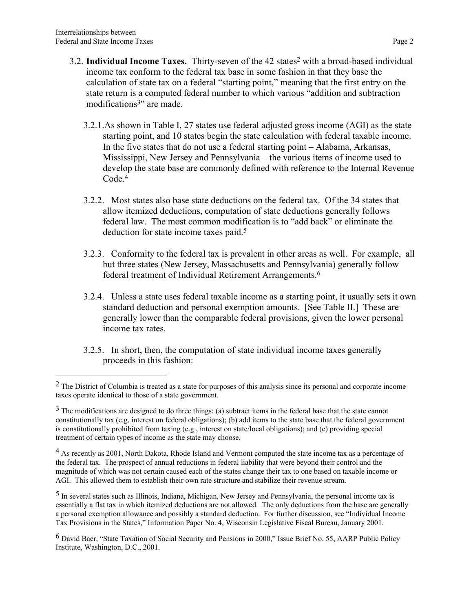$\overline{a}$ 

- 3.2. Individual Income Taxes. Thirty-seven of the 42 states<sup>2</sup> with a broad-based individual income tax conform to the federal tax base in some fashion in that they base the calculation of state tax on a federal "starting point," meaning that the first entry on the state return is a computed federal number to which various "addition and subtraction modifications<sup>3"</sup> are made.
	- 3.2.1.As shown in Table I, 27 states use federal adjusted gross income (AGI) as the state starting point, and 10 states begin the state calculation with federal taxable income. In the five states that do not use a federal starting point – Alabama, Arkansas, Mississippi, New Jersey and Pennsylvania – the various items of income used to develop the state base are commonly defined with reference to the Internal Revenue Code.<sup>4</sup>
	- 3.2.2. Most states also base state deductions on the federal tax. Of the 34 states that allow itemized deductions, computation of state deductions generally follows federal law. The most common modification is to "add back" or eliminate the deduction for state income taxes paid.<sup>5</sup>
	- 3.2.3. Conformity to the federal tax is prevalent in other areas as well. For example, all but three states (New Jersey, Massachusetts and Pennsylvania) generally follow federal treatment of Individual Retirement Arrangements.6
	- 3.2.4. Unless a state uses federal taxable income as a starting point, it usually sets it own standard deduction and personal exemption amounts. [See Table II.] These are generally lower than the comparable federal provisions, given the lower personal income tax rates.
	- 3.2.5. In short, then, the computation of state individual income taxes generally proceeds in this fashion:

<sup>2</sup> The District of Columbia is treated as a state for purposes of this analysis since its personal and corporate income taxes operate identical to those of a state government.

 $3$  The modifications are designed to do three things: (a) subtract items in the federal base that the state cannot constitutionally tax (e.g. interest on federal obligations); (b) add items to the state base that the federal government is constitutionally prohibited from taxing (e.g., interest on state/local obligations); and (c) providing special treatment of certain types of income as the state may choose.

<sup>&</sup>lt;sup>4</sup> As recently as 2001, North Dakota, Rhode Island and Vermont computed the state income tax as a percentage of the federal tax. The prospect of annual reductions in federal liability that were beyond their control and the magnitude of which was not certain caused each of the states change their tax to one based on taxable income or AGI. This allowed them to establish their own rate structure and stabilize their revenue stream.

<sup>5</sup> In several states such as Illinois, Indiana, Michigan, New Jersey and Pennsylvania, the personal income tax is essentially a flat tax in which itemized deductions are not allowed. The only deductions from the base are generally a personal exemption allowance and possibly a standard deduction. For further discussion, see "Individual Income Tax Provisions in the States," Information Paper No. 4, Wisconsin Legislative Fiscal Bureau, January 2001.

<sup>6</sup> David Baer, "State Taxation of Social Security and Pensions in 2000," Issue Brief No. 55, AARP Public Policy Institute, Washington, D.C., 2001.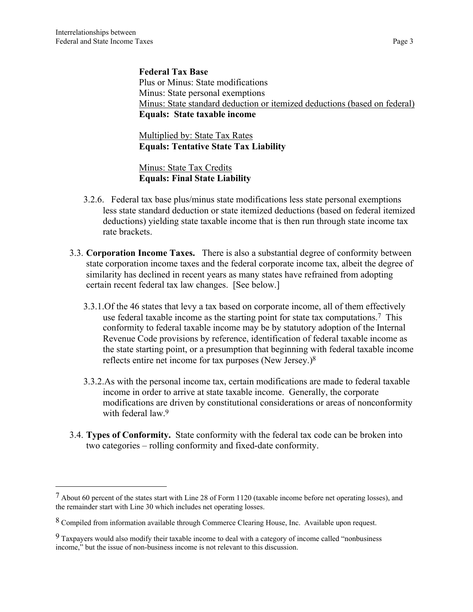$\overline{a}$ 

Federal Tax Base Plus or Minus: State modifications Minus: State personal exemptions Minus: State standard deduction or itemized deductions (based on federal) Equals: State taxable income

Multiplied by: State Tax Rates Equals: Tentative State Tax Liability

Minus: State Tax Credits Equals: Final State Liability

- 3.2.6. Federal tax base plus/minus state modifications less state personal exemptions less state standard deduction or state itemized deductions (based on federal itemized deductions) yielding state taxable income that is then run through state income tax rate brackets.
- 3.3. Corporation Income Taxes. There is also a substantial degree of conformity between state corporation income taxes and the federal corporate income tax, albeit the degree of similarity has declined in recent years as many states have refrained from adopting certain recent federal tax law changes. [See below.]
	- 3.3.1.Of the 46 states that levy a tax based on corporate income, all of them effectively use federal taxable income as the starting point for state tax computations.7 This conformity to federal taxable income may be by statutory adoption of the Internal Revenue Code provisions by reference, identification of federal taxable income as the state starting point, or a presumption that beginning with federal taxable income reflects entire net income for tax purposes (New Jersey.)8
	- 3.3.2.As with the personal income tax, certain modifications are made to federal taxable income in order to arrive at state taxable income. Generally, the corporate modifications are driven by constitutional considerations or areas of nonconformity with federal law.<sup>9</sup>
- 3.4. Types of Conformity. State conformity with the federal tax code can be broken into two categories – rolling conformity and fixed-date conformity.

<sup>7</sup> About 60 percent of the states start with Line 28 of Form 1120 (taxable income before net operating losses), and the remainder start with Line 30 which includes net operating losses.

<sup>8</sup> Compiled from information available through Commerce Clearing House, Inc. Available upon request.

<sup>9</sup> Taxpayers would also modify their taxable income to deal with a category of income called "nonbusiness income," but the issue of non-business income is not relevant to this discussion.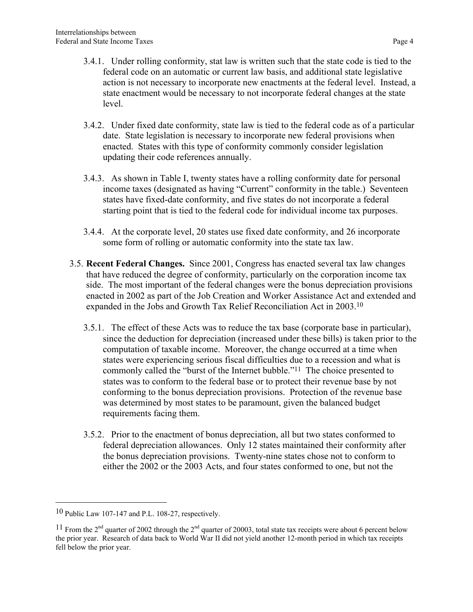- 3.4.1. Under rolling conformity, stat law is written such that the state code is tied to the federal code on an automatic or current law basis, and additional state legislative action is not necessary to incorporate new enactments at the federal level. Instead, a state enactment would be necessary to not incorporate federal changes at the state level.
- 3.4.2. Under fixed date conformity, state law is tied to the federal code as of a particular date. State legislation is necessary to incorporate new federal provisions when enacted. States with this type of conformity commonly consider legislation updating their code references annually.
- 3.4.3. As shown in Table I, twenty states have a rolling conformity date for personal income taxes (designated as having "Current" conformity in the table.) Seventeen states have fixed-date conformity, and five states do not incorporate a federal starting point that is tied to the federal code for individual income tax purposes.
- 3.4.4. At the corporate level, 20 states use fixed date conformity, and 26 incorporate some form of rolling or automatic conformity into the state tax law.
- 3.5. Recent Federal Changes. Since 2001, Congress has enacted several tax law changes that have reduced the degree of conformity, particularly on the corporation income tax side. The most important of the federal changes were the bonus depreciation provisions enacted in 2002 as part of the Job Creation and Worker Assistance Act and extended and expanded in the Jobs and Growth Tax Relief Reconciliation Act in 2003.10
	- 3.5.1. The effect of these Acts was to reduce the tax base (corporate base in particular), since the deduction for depreciation (increased under these bills) is taken prior to the computation of taxable income. Moreover, the change occurred at a time when states were experiencing serious fiscal difficulties due to a recession and what is commonly called the "burst of the Internet bubble."11 The choice presented to states was to conform to the federal base or to protect their revenue base by not conforming to the bonus depreciation provisions. Protection of the revenue base was determined by most states to be paramount, given the balanced budget requirements facing them.
	- 3.5.2. Prior to the enactment of bonus depreciation, all but two states conformed to federal depreciation allowances. Only 12 states maintained their conformity after the bonus depreciation provisions. Twenty-nine states chose not to conform to either the 2002 or the 2003 Acts, and four states conformed to one, but not the

 <sup>10</sup> Public Law 107-147 and P.L. 108-27, respectively.

<sup>&</sup>lt;sup>11</sup> From the  $2^{nd}$  quarter of 2002 through the  $2^{nd}$  quarter of 20003, total state tax receipts were about 6 percent below the prior year. Research of data back to World War II did not yield another 12-month period in which tax receipts fell below the prior year.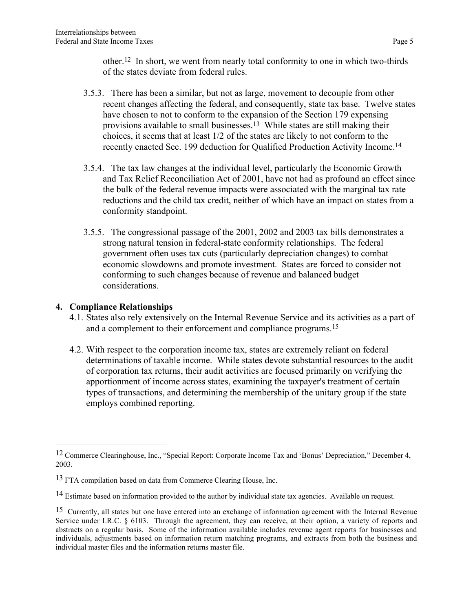other.12 In short, we went from nearly total conformity to one in which two-thirds of the states deviate from federal rules.

- 3.5.3. There has been a similar, but not as large, movement to decouple from other recent changes affecting the federal, and consequently, state tax base. Twelve states have chosen to not to conform to the expansion of the Section 179 expensing provisions available to small businesses.13 While states are still making their choices, it seems that at least 1/2 of the states are likely to not conform to the recently enacted Sec. 199 deduction for Qualified Production Activity Income.14
- 3.5.4. The tax law changes at the individual level, particularly the Economic Growth and Tax Relief Reconciliation Act of 2001, have not had as profound an effect since the bulk of the federal revenue impacts were associated with the marginal tax rate reductions and the child tax credit, neither of which have an impact on states from a conformity standpoint.
- 3.5.5. The congressional passage of the 2001, 2002 and 2003 tax bills demonstrates a strong natural tension in federal-state conformity relationships. The federal government often uses tax cuts (particularly depreciation changes) to combat economic slowdowns and promote investment. States are forced to consider not conforming to such changes because of revenue and balanced budget considerations.

#### 4. Compliance Relationships

 $\overline{a}$ 

- 4.1. States also rely extensively on the Internal Revenue Service and its activities as a part of and a complement to their enforcement and compliance programs.15
- 4.2. With respect to the corporation income tax, states are extremely reliant on federal determinations of taxable income. While states devote substantial resources to the audit of corporation tax returns, their audit activities are focused primarily on verifying the apportionment of income across states, examining the taxpayer's treatment of certain types of transactions, and determining the membership of the unitary group if the state employs combined reporting.

<sup>12</sup> Commerce Clearinghouse, Inc., "Special Report: Corporate Income Tax and 'Bonus' Depreciation," December 4, 2003.

<sup>13</sup> FTA compilation based on data from Commerce Clearing House, Inc.

<sup>&</sup>lt;sup>14</sup> Estimate based on information provided to the author by individual state tax agencies. Available on request.

<sup>&</sup>lt;sup>15</sup> Currently, all states but one have entered into an exchange of information agreement with the Internal Revenue Service under I.R.C. § 6103. Through the agreement, they can receive, at their option, a variety of reports and abstracts on a regular basis. Some of the information available includes revenue agent reports for businesses and individuals, adjustments based on information return matching programs, and extracts from both the business and individual master files and the information returns master file.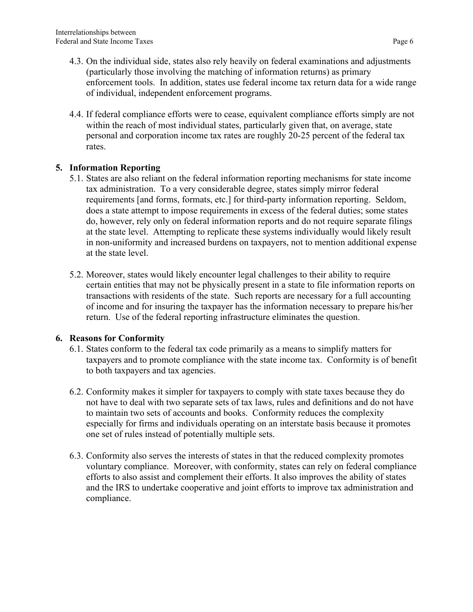- 4.3. On the individual side, states also rely heavily on federal examinations and adjustments (particularly those involving the matching of information returns) as primary enforcement tools. In addition, states use federal income tax return data for a wide range of individual, independent enforcement programs.
- 4.4. If federal compliance efforts were to cease, equivalent compliance efforts simply are not within the reach of most individual states, particularly given that, on average, state personal and corporation income tax rates are roughly 20-25 percent of the federal tax rates.

#### 5. Information Reporting

- 5.1. States are also reliant on the federal information reporting mechanisms for state income tax administration. To a very considerable degree, states simply mirror federal requirements [and forms, formats, etc.] for third-party information reporting. Seldom, does a state attempt to impose requirements in excess of the federal duties; some states do, however, rely only on federal information reports and do not require separate filings at the state level. Attempting to replicate these systems individually would likely result in non-uniformity and increased burdens on taxpayers, not to mention additional expense at the state level.
- 5.2. Moreover, states would likely encounter legal challenges to their ability to require certain entities that may not be physically present in a state to file information reports on transactions with residents of the state. Such reports are necessary for a full accounting of income and for insuring the taxpayer has the information necessary to prepare his/her return. Use of the federal reporting infrastructure eliminates the question.

#### 6. Reasons for Conformity

- 6.1. States conform to the federal tax code primarily as a means to simplify matters for taxpayers and to promote compliance with the state income tax. Conformity is of benefit to both taxpayers and tax agencies.
- 6.2. Conformity makes it simpler for taxpayers to comply with state taxes because they do not have to deal with two separate sets of tax laws, rules and definitions and do not have to maintain two sets of accounts and books. Conformity reduces the complexity especially for firms and individuals operating on an interstate basis because it promotes one set of rules instead of potentially multiple sets.
- 6.3. Conformity also serves the interests of states in that the reduced complexity promotes voluntary compliance. Moreover, with conformity, states can rely on federal compliance efforts to also assist and complement their efforts. It also improves the ability of states and the IRS to undertake cooperative and joint efforts to improve tax administration and compliance.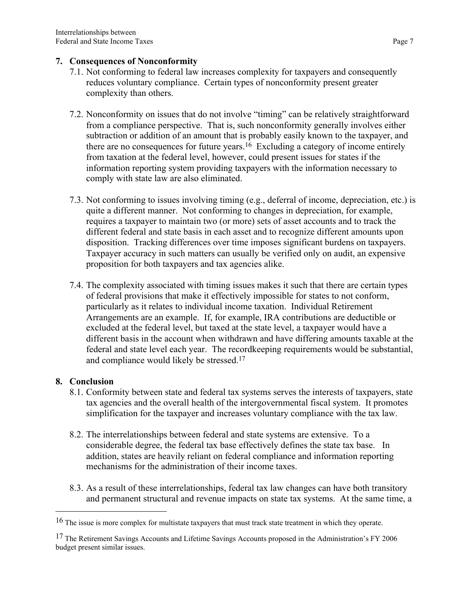#### 7. Consequences of Nonconformity

- 7.1. Not conforming to federal law increases complexity for taxpayers and consequently reduces voluntary compliance. Certain types of nonconformity present greater complexity than others.
- 7.2. Nonconformity on issues that do not involve "timing" can be relatively straightforward from a compliance perspective. That is, such nonconformity generally involves either subtraction or addition of an amount that is probably easily known to the taxpayer, and there are no consequences for future years.<sup>16</sup> Excluding a category of income entirely from taxation at the federal level, however, could present issues for states if the information reporting system providing taxpayers with the information necessary to comply with state law are also eliminated.
- 7.3. Not conforming to issues involving timing (e.g., deferral of income, depreciation, etc.) is quite a different manner. Not conforming to changes in depreciation, for example, requires a taxpayer to maintain two (or more) sets of asset accounts and to track the different federal and state basis in each asset and to recognize different amounts upon disposition. Tracking differences over time imposes significant burdens on taxpayers. Taxpayer accuracy in such matters can usually be verified only on audit, an expensive proposition for both taxpayers and tax agencies alike.
- 7.4. The complexity associated with timing issues makes it such that there are certain types of federal provisions that make it effectively impossible for states to not conform, particularly as it relates to individual income taxation. Individual Retirement Arrangements are an example. If, for example, IRA contributions are deductible or excluded at the federal level, but taxed at the state level, a taxpayer would have a different basis in the account when withdrawn and have differing amounts taxable at the federal and state level each year. The recordkeeping requirements would be substantial, and compliance would likely be stressed.17

#### 8. Conclusion

- 8.1. Conformity between state and federal tax systems serves the interests of taxpayers, state tax agencies and the overall health of the intergovernmental fiscal system. It promotes simplification for the taxpayer and increases voluntary compliance with the tax law.
- 8.2. The interrelationships between federal and state systems are extensive. To a considerable degree, the federal tax base effectively defines the state tax base. In addition, states are heavily reliant on federal compliance and information reporting mechanisms for the administration of their income taxes.
- 8.3. As a result of these interrelationships, federal tax law changes can have both transitory and permanent structural and revenue impacts on state tax systems. At the same time, a

<sup>&</sup>lt;sup>16</sup> The issue is more complex for multistate taxpayers that must track state treatment in which they operate.

<sup>17</sup> The Retirement Savings Accounts and Lifetime Savings Accounts proposed in the Administration's FY 2006 budget present similar issues.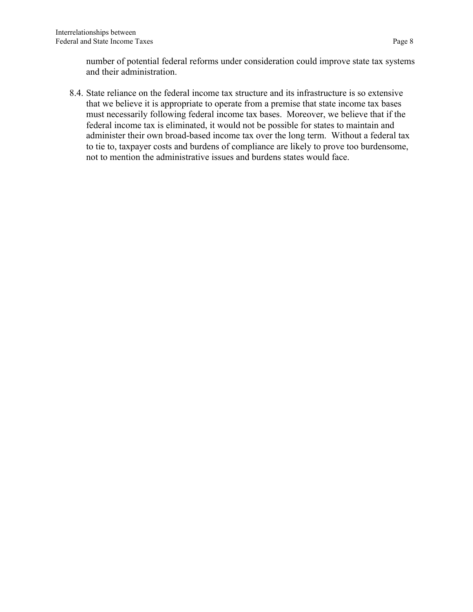number of potential federal reforms under consideration could improve state tax systems and their administration.

8.4. State reliance on the federal income tax structure and its infrastructure is so extensive that we believe it is appropriate to operate from a premise that state income tax bases must necessarily following federal income tax bases. Moreover, we believe that if the federal income tax is eliminated, it would not be possible for states to maintain and administer their own broad-based income tax over the long term. Without a federal tax to tie to, taxpayer costs and burdens of compliance are likely to prove too burdensome, not to mention the administrative issues and burdens states would face.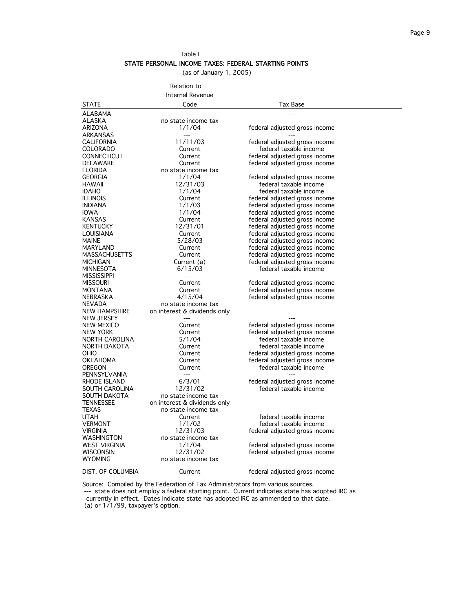Table I

#### STATE PERSONAL INCOME TAXES: FEDERAL STARTING POINTS

(as of January 1, 2005)

Relation to

|                                     | Internal Revenue                |                                                                |
|-------------------------------------|---------------------------------|----------------------------------------------------------------|
| <b>STATE</b>                        | Code                            | Tax Base                                                       |
| <b>ALABAMA</b>                      |                                 |                                                                |
| <b>ALASKA</b>                       | no state income tax             |                                                                |
| ARIZONA                             | 1/1/04                          | federal adjusted gross income                                  |
| <b>ARKANSAS</b>                     | $---$                           |                                                                |
| <b>CALIFORNIA</b>                   | 11/11/03                        | federal adjusted gross income                                  |
| <b>COLORADO</b>                     | Current                         | federal taxable income                                         |
| CONNECTICUT                         | Current                         | federal adjusted gross income                                  |
| DELAWARE                            | Current                         | federal adjusted gross income                                  |
| <b>FLORIDA</b>                      | no state income tax             |                                                                |
| <b>GEORGIA</b>                      | 1/1/04                          | federal adjusted gross income                                  |
| HAWAII                              | 12/31/03                        | federal taxable income                                         |
| <b>IDAHO</b>                        | 1/1/04                          | federal taxable income                                         |
| <b>ILLINOIS</b>                     | Current                         | federal adjusted gross income                                  |
| <b>INDIANA</b>                      | 1/1/03                          | federal adjusted gross income                                  |
| <b>IOWA</b>                         | 1/1/04                          | federal adjusted gross income                                  |
| <b>KANSAS</b>                       | Current                         | federal adjusted gross income                                  |
| <b>KENTUCKY</b><br><b>LOUISIANA</b> | 12/31/01                        | federal adjusted gross income                                  |
| <b>MAINE</b>                        | Current<br>5/28/03              | federal adjusted gross income                                  |
| <b>MARYLAND</b>                     | Current                         | federal adjusted gross income<br>federal adjusted gross income |
| <b>MASSACHUSETTS</b>                | Current                         | federal adjusted gross income                                  |
| <b>MICHIGAN</b>                     | Current (a)                     | federal adjusted gross income                                  |
| <b>MINNESOTA</b>                    | 6/15/03                         | federal taxable income                                         |
| <b>MISSISSIPPI</b>                  | $---$                           |                                                                |
| <b>MISSOURI</b>                     | Current                         | federal adjusted gross income                                  |
| <b>MONTANA</b>                      | Current                         | federal adjusted gross income                                  |
| NEBRASKA                            | 4/15/04                         | federal adjusted gross income                                  |
| <b>NEVADA</b>                       | no state income tax             |                                                                |
| NEW HAMPSHIRE                       | on interest & dividends only    |                                                                |
| NEW JERSEY                          | $---$                           |                                                                |
| NEW MEXICO                          | Current                         | federal adjusted gross income                                  |
| NEW YORK                            | Current                         | federal adjusted gross income                                  |
| NORTH CAROLINA                      | 5/1/04                          | federal taxable income                                         |
| NORTH DAKOTA                        | Current                         | federal taxable income                                         |
| OHIO                                | Current                         | federal adjusted gross income                                  |
| <b>OKLAHOMA</b>                     | Current                         | federal adjusted gross income                                  |
| OREGON                              | Current                         | federal taxable income                                         |
| PENNSYLVANIA                        | $---$                           |                                                                |
| RHODE ISLAND                        | 6/3/01                          | federal adjusted gross income                                  |
| SOUTH CAROLINA                      | 12/31/02                        | federal taxable income                                         |
| SOUTH DAKOTA                        | no state income tax             |                                                                |
| <b>TENNESSEE</b>                    | on interest & dividends only    |                                                                |
| <b>TEXAS</b>                        | no state income tax             |                                                                |
| <b>UTAH</b>                         | Current                         | federal taxable income                                         |
| <b>VERMONT</b>                      | 1/1/02                          | federal taxable income                                         |
| <b>VIRGINIA</b><br>WASHINGTON       | 12/31/03<br>no state income tax | federal adjusted gross income                                  |
| <b>WEST VIRGINIA</b>                | 1/1/04                          | federal adjusted gross income                                  |
| <b>WISCONSIN</b>                    | 12/31/02                        | federal adjusted gross income                                  |
| <b>WYOMING</b>                      | no state income tax             |                                                                |
|                                     |                                 |                                                                |
| DIST. OF COLUMBIA                   | Current                         | federal adjusted gross income                                  |
|                                     |                                 |                                                                |

Source: Compiled by the Federation of Tax Administrators from various sources. --- state does not employ a federal starting point. Current indicates state has adopted IRC as currently in effect. Dates indicate state has adopted IRC as ammended to that date. (a) or 1/1/99, taxpayer's option.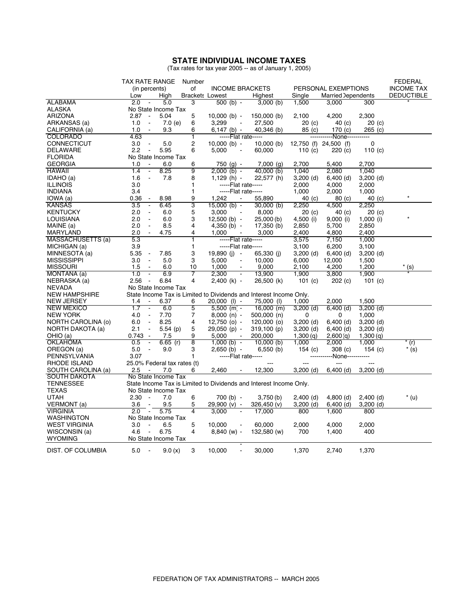#### **STATE INDIVIDUAL INCOME TAXES**

(Tax rates for tax year 2005 -- as of January 1, 2005)

|                                     | <b>TAX RATE RANGE</b>                     |             | Number                 |                                                                    |                      |                   |                            |                   | <b>FEDERAL</b>    |
|-------------------------------------|-------------------------------------------|-------------|------------------------|--------------------------------------------------------------------|----------------------|-------------------|----------------------------|-------------------|-------------------|
|                                     | (in percents)                             |             | οf                     | <b>INCOME BRACKETS</b>                                             |                      |                   | PERSONAL EXEMPTIONS        |                   | <b>INCOME TAX</b> |
|                                     | Low                                       | High        | <b>Brackets Lowest</b> |                                                                    | Highest              | Single            | <b>Married Dependents</b>  |                   | <b>DEDUCTIBLE</b> |
| ALABAMA                             | 2.0                                       | 5.0         | 3                      | $\overline{500}$ (b) -                                             | 3,000(b)             | 1,500             | 3,000                      | 300               |                   |
| <b>ALASKA</b>                       | No State Income Tax                       |             |                        |                                                                    |                      |                   |                            |                   |                   |
| <b>ARIZONA</b>                      | $2.87 -$                                  | 5.04        | 5                      | $10,000$ (b) -                                                     | $150,000$ (b)        | 2,100             | 4,200                      | 2,300             |                   |
| ARKANSAS (a)                        | 1.0<br>$\sim$                             | 7.0(e)      | 6                      | 3,299                                                              | 27,500               | 20 <sub>(c)</sub> | 40(c)                      | $20$ (c)          |                   |
| CALIFORNIA (a)                      | 1.0<br>$\sim$                             | 9.3         | 6                      | $6,147$ (b) -                                                      | 40,346 (b)           | 85 (c)            | 170 $(c)$                  | 265 (c)           |                   |
| <b>COLORADO</b>                     | 4.63                                      |             | ī                      | -----Flat rate-----                                                |                      |                   | -----------None----------- |                   |                   |
| <b>CONNECTICUT</b>                  | 3.0<br>$\sim$                             | 5.0         | $\overline{c}$         | $10,000$ (b) -                                                     | $10,000$ (b)         |                   | 12,750 (f) 24,500 (f)      | 0                 |                   |
| <b>DELAWARE</b>                     | $\sim$<br>2.2                             | 5.95        | 6                      | 5,000<br>$\sim$                                                    | 60,000               | 110 $(c)$         | 220 (c)                    | 110 $(c)$         |                   |
| <b>FLORIDA</b>                      | No State Income Tax                       |             |                        |                                                                    |                      |                   |                            |                   |                   |
| <b>GEORGIA</b>                      | 1.0<br>$\sim$                             | 6.0         | 6                      | 750 (g) -                                                          | $7,000$ (g)          | 2,700             | 5,400                      | 2,700             |                   |
| <b>HAWAII</b>                       | 1.4<br>$\sim$                             | 8.25        | 9                      | $2.000$ (b) -                                                      | 40,000 (b)           | 1,040             | 2.080                      | 1,040             |                   |
| IDAHO (a)                           | 1.6<br>$\sim$                             | 7.8         | 8                      | $1,129(h) -$                                                       | 22,577 (h)           | $3,200$ (d)       | $6,400$ (d)                | $3,200$ (d)       |                   |
| <b>ILLINOIS</b>                     | 3.0                                       |             | 1                      | -----Flat rate-----                                                |                      | 2,000             | 4.000                      | 2,000             |                   |
| <b>INDIANA</b>                      | 3.4                                       |             | 1                      | -----Flat rate-----                                                |                      | 1,000             | 2,000                      | 1,000             |                   |
| IOWA (a)                            | 0.36<br>$\blacksquare$                    | 8.98        | 9                      | 1,242<br>$\overline{\phantom{a}}$                                  | 55,890               | 40 (c)            | 80 <sub>(c)</sub>          | 40 (c)            |                   |
| <b>KANSAS</b>                       | 3.5<br>$\blacksquare$                     | 6.45        | 3                      | $15,000$ (b) -                                                     | $30,000$ (b)         | 2,250             | 4,500                      | 2,250             |                   |
| <b>KENTUCKY</b>                     | 2.0<br>$\Box$                             | 6.0         | 5                      | 3,000                                                              | 8,000                | $20$ (c)          | 40 (c)                     | 20 <sub>(c)</sub> |                   |
| LOUISIANA                           | 2.0<br>$\sim$                             | 6.0         | 3                      | $12,500$ (b) -                                                     | 25,000 (b)           | 4,500 (i)         | $9,000$ (i)                | $1,000$ (i)       |                   |
| MAINE (a)                           | 2.0<br>$\sim$                             | 8.5         | 4                      | $4,350$ (b) -                                                      | 17,350 (b)           | 2,850             | 5,700                      | 2,850             |                   |
| <b>MARYLAND</b>                     | 2.0                                       | 4.75        | 4                      | 1.000                                                              | 3.000                | 2.400             | 4,800                      | 2.400             |                   |
| MASSACHUSETTS (a)                   | 5.3                                       |             | 1                      | $---Flat rate---$                                                  |                      | 3,575             | 7,150                      | 1,000             |                   |
| MICHIGAN (a)                        | 3.9                                       |             | $\mathbf{1}$           | -----Flat rate-----                                                |                      | 3,100             | 6,200                      | 3,100             |                   |
|                                     | 5.35                                      |             |                        |                                                                    |                      |                   |                            |                   |                   |
| MINNESOTA (a)<br><b>MISSISSIPPI</b> | $\sim$<br>3.0<br>$\overline{\phantom{a}}$ | 7.85<br>5.0 | 3<br>3                 | $19,890$ (i) -<br>5,000                                            | 65,330 (i)<br>10,000 | $3,200$ (d)       | $6,400$ (d)                | $3,200$ (d)       |                   |
|                                     | $\sim$                                    |             |                        |                                                                    |                      | 6,000             | 12,000                     | 1,500             |                   |
| <b>MISSOURI</b>                     | 1.5                                       | 6.0         | 10                     | 1,000<br>$\blacksquare$                                            | 9,000                | 2,100             | 4,200                      | 1,200             | $*(s)$            |
| MONTANA (a)                         | 1.0<br>2.56<br>$\sim$                     | 6.9<br>6.84 | $\overline{7}$         | 2.300                                                              | 13.900               | 1.900             | 3.800                      | 1.900             |                   |
| NEBRASKA (a)                        |                                           |             | 4                      | $2,400$ (k) -                                                      | 26,500 (k)           | 101 $(c)$         | 202 (c)                    | 101 $(c)$         |                   |
| <b>NEVADA</b>                       | No State Income Tax                       |             |                        |                                                                    |                      |                   |                            |                   |                   |
| <b>NEW HAMPSHIRE</b>                |                                           |             |                        | State Income Tax is Limited to Dividends and Interest Income Only. |                      |                   |                            |                   |                   |
| <b>NEW JERSEY</b>                   | 1.4<br>$\sim$ $-$                         | 6.37        | 6                      | $20,000$ (l) -                                                     | 75,000 (l)           | 1,000             | 2,000                      | 1,500             |                   |
| <b>NEW MEXICO</b>                   | 1.7<br>$\blacksquare$                     | 6.0         | 5                      | $5,500$ (m) -                                                      | $16,000$ (m)         | $3,200$ (d)       | $6,400$ (d)                | $3,200$ (d)       |                   |
| <b>NEW YORK</b>                     | 4.0<br>$\sim$                             | 7.70        | 7                      | $8,000(n) -$                                                       | $500,000$ (n)        | 0                 | 0                          | 1,000             |                   |
| NORTH CAROLINA (0)                  | 6.0<br>$\sim$                             | 8.25        | 4                      | $12,750$ (o) -                                                     | 120,000 (o)          | $3,200$ (d)       | $6,400$ (d)                | $3,200$ (d)       |                   |
| NORTH DAKOTA (a)                    | 2.1<br>$\sim$                             | 5.54(p)     | 5                      | 29,050 (p) -                                                       | 319,100(p)           | $3,200$ (d)       | $6,400$ (d)                | $3,200$ (d)       |                   |
| OHIO (a)                            | $0.743 -$                                 | 7.5         | 9                      | 5.000<br>$\blacksquare$                                            | 200,000              | 1,300 (q)         | 2,600(q)                   | 1,300(q)          |                   |
| <b>OKLAHOMA</b>                     | 0.5<br>$\sim$                             | $6.65$ (r)  | $\overline{8}$         | $1,000(b) -$                                                       | $10,000$ (b)         | 1,000             | 2,000                      | 1.000             | $*(r)$            |
| OREGON (a)                          | 5.0<br>$\sim$                             | 9.0         | 3                      | $2,650$ (b) -                                                      | $6,550$ (b)          | 154 $(c)$         | 308 (c)                    | 154 $(c)$         | * (s)             |
| PENNSYLVANIA                        | 3.07                                      |             | 1                      | -----Flat rate-----                                                |                      |                   | -----None-----------       |                   |                   |
| RHODE ISLAND                        | 25.0% Federal tax rates (t)               |             |                        |                                                                    | $\frac{1}{2}$        |                   | $\overline{a}$             |                   |                   |
| SOUTH CAROLINA (a)                  | 2.5<br>$\sim$                             | 7.0         | 6                      | 2.460                                                              | 12.300               | $3,200$ (d)       | $6,400$ (d)                | $3.200$ (d)       |                   |
| <b>SOUTH DAKOTA</b>                 | No State Income Tax                       |             |                        |                                                                    |                      |                   |                            |                   |                   |
| <b>TENNESSEE</b>                    |                                           |             |                        | State Income Tax is Limited to Dividends and Interest Income Only. |                      |                   |                            |                   |                   |
| TEXAS                               | No State Income Tax                       |             |                        |                                                                    |                      |                   |                            |                   |                   |
| <b>UTAH</b>                         | $2.30 -$                                  | 7.0         | 6                      | 700 (b) -                                                          | 3,750(b)             | $2,400$ (d)       | $4,800$ (d)                | $2,400$ (d)       | $*(u)$            |
| VERMONT (a)                         | 3.6                                       | 9.5         | 5                      | 29,900 (v) -                                                       | 326,450 (v)          | $3,200$ (d)       | $6,400$ (d)                | $3,200$ (d)       |                   |
| <b>VIRGINIA</b>                     | 2.0<br>747                                | 5.75        | $\overline{4}$         | 3.000<br>Ξ                                                         | 17.000               | 800               | 1,600                      | 800               |                   |
| <b>WASHINGTON</b>                   | No State Income Tax                       |             |                        |                                                                    |                      |                   |                            |                   |                   |
| <b>WEST VIRGINIA</b>                | 3.0<br>$\sim$                             | 6.5         | 5                      | 10.000<br>$\blacksquare$                                           | 60.000               | 2,000             | 4,000                      | 2,000             |                   |
| WISCONSIN (a)                       | 4.6<br>$\sim$                             | 6.75        | 4                      | $8,840 (w) -$                                                      | 132,580 (w)          | 700               | 1,400                      | 400               |                   |
| <b>WYOMING</b>                      | No State Income Tax                       |             |                        |                                                                    |                      |                   |                            |                   |                   |
|                                     |                                           |             |                        |                                                                    |                      |                   |                            |                   |                   |
| DIST. OF COLUMBIA                   | 5.0                                       | 9.0(x)      | 3                      | 10,000                                                             | 30,000               | 1,370             | 2.740                      | 1,370             |                   |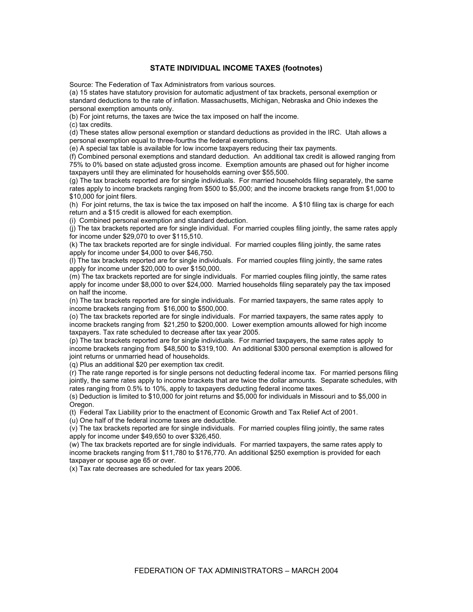#### **STATE INDIVIDUAL INCOME TAXES (footnotes)**

Source: The Federation of Tax Administrators from various sources.

(a) 15 states have statutory provision for automatic adjustment of tax brackets, personal exemption or standard deductions to the rate of inflation. Massachusetts, Michigan, Nebraska and Ohio indexes the personal exemption amounts only.

(b) For joint returns, the taxes are twice the tax imposed on half the income.

(c) tax credits.

(d) These states allow personal exemption or standard deductions as provided in the IRC. Utah allows a personal exemption equal to three-fourths the federal exemptions.

(e) A special tax table is available for low income taxpayers reducing their tax payments.

(f) Combined personal exemptions and standard deduction. An additional tax credit is allowed ranging from 75% to 0% based on state adjusted gross income. Exemption amounts are phased out for higher income taxpayers until they are eliminated for households earning over \$55,500.

(g) The tax brackets reported are for single individuals. For married households filing separately, the same rates apply to income brackets ranging from \$500 to \$5,000; and the income brackets range from \$1,000 to \$10,000 for joint filers.

(h) For joint returns, the tax is twice the tax imposed on half the income. A \$10 filing tax is charge for each return and a \$15 credit is allowed for each exemption.

(i) Combined personal exemption and standard deduction.

(j) The tax brackets reported are for single individual. For married couples filing jointly, the same rates apply for income under \$29,070 to over \$115,510.

(k) The tax brackets reported are for single individual. For married couples filing jointly, the same rates apply for income under \$4,000 to over \$46,750.

(l) The tax brackets reported are for single individuals. For married couples filing jointly, the same rates apply for income under \$20,000 to over \$150,000.

(m) The tax brackets reported are for single individuals. For married couples filing jointly, the same rates apply for income under \$8,000 to over \$24,000. Married households filing separately pay the tax imposed on half the income.

(n) The tax brackets reported are for single individuals. For married taxpayers, the same rates apply to income brackets ranging from \$16,000 to \$500,000.

(o) The tax brackets reported are for single individuals. For married taxpayers, the same rates apply to income brackets ranging from \$21,250 to \$200,000. Lower exemption amounts allowed for high income taxpayers. Tax rate scheduled to decrease after tax year 2005.

(p) The tax brackets reported are for single individuals. For married taxpayers, the same rates apply to income brackets ranging from \$48,500 to \$319,100. An additional \$300 personal exemption is allowed for joint returns or unmarried head of households.

(q) Plus an additional \$20 per exemption tax credit.

(r) The rate range reported is for single persons not deducting federal income tax. For married persons filing jointly, the same rates apply to income brackets that are twice the dollar amounts. Separate schedules, with rates ranging from 0.5% to 10%, apply to taxpayers deducting federal income taxes.

(s) Deduction is limited to \$10,000 for joint returns and \$5,000 for individuals in Missouri and to \$5,000 in Oregon.

(t) Federal Tax Liability prior to the enactment of Economic Growth and Tax Relief Act of 2001.

(u) One half of the federal income taxes are deductible.

(v) The tax brackets reported are for single individuals. For married couples filing jointly, the same rates apply for income under \$49,650 to over \$326,450.

(w) The tax brackets reported are for single individuals. For married taxpayers, the same rates apply to income brackets ranging from \$11,780 to \$176,770. An additional \$250 exemption is provided for each taxpayer or spouse age 65 or over.

(x) Tax rate decreases are scheduled for tax years 2006.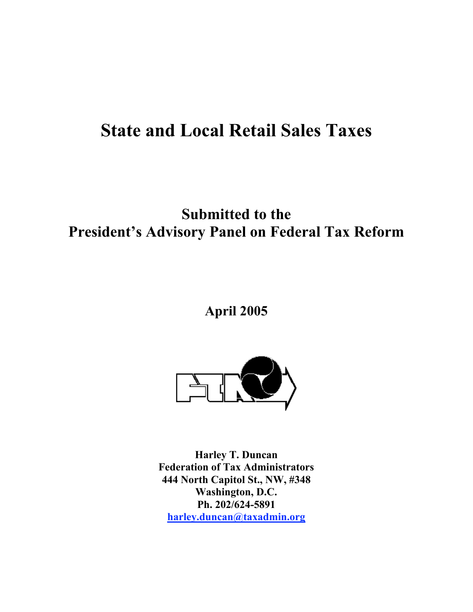# State and Local Retail Sales Taxes

# Submitted to the President's Advisory Panel on Federal Tax Reform

### April 2005



Harley T. Duncan Federation of Tax Administrators 444 North Capitol St., NW, #348 Washington, D.C. Ph. 202/624-5891 harley.duncan@taxadmin.org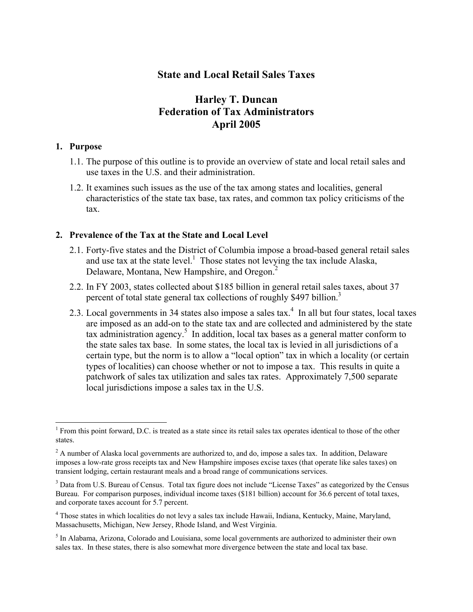### State and Local Retail Sales Taxes

### Harley T. Duncan Federation of Tax Administrators April 2005

#### 1. Purpose

- 1.1. The purpose of this outline is to provide an overview of state and local retail sales and use taxes in the U.S. and their administration.
- 1.2. It examines such issues as the use of the tax among states and localities, general characteristics of the state tax base, tax rates, and common tax policy criticisms of the tax.

#### 2. Prevalence of the Tax at the State and Local Level

- 2.1. Forty-five states and the District of Columbia impose a broad-based general retail sales and use tax at the state level.<sup>1</sup> Those states not levying the tax include Alaska, Delaware, Montana, New Hampshire, and Oregon.<sup>2</sup>
- 2.2. In FY 2003, states collected about \$185 billion in general retail sales taxes, about 37 percent of total state general tax collections of roughly \$497 billion.<sup>3</sup>
- 2.3. Local governments in 34 states also impose a sales tax. $4\,$  In all but four states, local taxes are imposed as an add-on to the state tax and are collected and administered by the state tax administration agency.<sup>5</sup> In addition, local tax bases as a general matter conform to the state sales tax base. In some states, the local tax is levied in all jurisdictions of a certain type, but the norm is to allow a "local option" tax in which a locality (or certain types of localities) can choose whether or not to impose a tax. This results in quite a patchwork of sales tax utilization and sales tax rates. Approximately 7,500 separate local jurisdictions impose a sales tax in the U.S.

 $\frac{1}{1}$  $<sup>1</sup>$  From this point forward, D.C. is treated as a state since its retail sales tax operates identical to those of the other</sup> states.

 $2^2$  A number of Alaska local governments are authorized to, and do, impose a sales tax. In addition, Delaware imposes a low-rate gross receipts tax and New Hampshire imposes excise taxes (that operate like sales taxes) on transient lodging, certain restaurant meals and a broad range of communications services.

<sup>&</sup>lt;sup>3</sup> Data from U.S. Bureau of Census. Total tax figure does not include "License Taxes" as categorized by the Census Bureau. For comparison purposes, individual income taxes (\$181 billion) account for 36.6 percent of total taxes, and corporate taxes account for 5.7 percent.

<sup>&</sup>lt;sup>4</sup> Those states in which localities do not levy a sales tax include Hawaii, Indiana, Kentucky, Maine, Maryland, Massachusetts, Michigan, New Jersey, Rhode Island, and West Virginia.

<sup>&</sup>lt;sup>5</sup> In Alabama, Arizona, Colorado and Louisiana, some local governments are authorized to administer their own sales tax. In these states, there is also somewhat more divergence between the state and local tax base.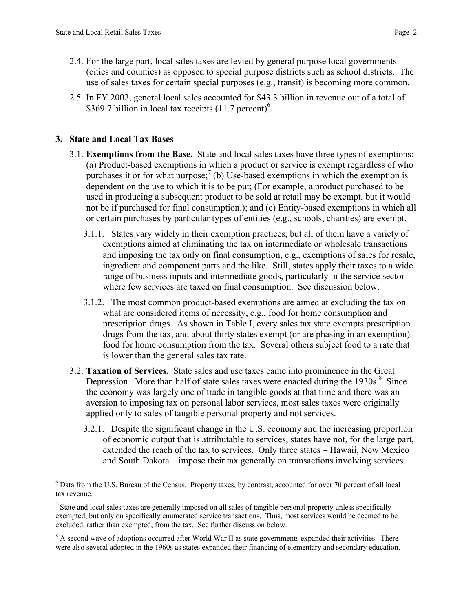- 2.4. For the large part, local sales taxes are levied by general purpose local governments (cities and counties) as opposed to special purpose districts such as school districts. The use of sales taxes for certain special purposes (e.g., transit) is becoming more common.
- 2.5. In FY 2002, general local sales accounted for \$43.3 billion in revenue out of a total of \$369.7 billion in local tax receipts  $(11.7 \text{ percent})^6$

#### 3. State and Local Tax Bases

- 3.1. Exemptions from the Base. State and local sales taxes have three types of exemptions: (a) Product-based exemptions in which a product or service is exempt regardless of who purchases it or for what purpose;<sup>7</sup> (b) Use-based exemptions in which the exemption is dependent on the use to which it is to be put; (For example, a product purchased to be used in producing a subsequent product to be sold at retail may be exempt, but it would not be if purchased for final consumption.); and (c) Entity-based exemptions in which all or certain purchases by particular types of entities (e.g., schools, charities) are exempt.
	- 3.1.1. States vary widely in their exemption practices, but all of them have a variety of exemptions aimed at eliminating the tax on intermediate or wholesale transactions and imposing the tax only on final consumption, e.g., exemptions of sales for resale, ingredient and component parts and the like. Still, states apply their taxes to a wide range of business inputs and intermediate goods, particularly in the service sector where few services are taxed on final consumption. See discussion below.
	- 3.1.2. The most common product-based exemptions are aimed at excluding the tax on what are considered items of necessity, e.g., food for home consumption and prescription drugs. As shown in Table I, every sales tax state exempts prescription drugs from the tax, and about thirty states exempt (or are phasing in an exemption) food for home consumption from the tax. Several others subject food to a rate that is lower than the general sales tax rate.
- 3.2. Taxation of Services. State sales and use taxes came into prominence in the Great Depression. More than half of state sales taxes were enacted during the  $1930s$ .<sup>8</sup> Since the economy was largely one of trade in tangible goods at that time and there was an aversion to imposing tax on personal labor services, most sales taxes were originally applied only to sales of tangible personal property and not services.
	- 3.2.1. Despite the significant change in the U.S. economy and the increasing proportion of economic output that is attributable to services, states have not, for the large part, extended the reach of the tax to services. Only three states – Hawaii, New Mexico and South Dakota – impose their tax generally on transactions involving services.

 $\frac{1}{6}$ <sup>6</sup> Data from the U.S. Bureau of the Census. Property taxes, by contrast, accounted for over 70 percent of all local tax revenue.

 $<sup>7</sup>$  State and local sales taxes are generally imposed on all sales of tangible personal property unless specifically</sup> exempted, but only on specifically enumerated service transactions. Thus, most services would be deemed to be excluded, rather than exempted, from the tax. See further discussion below.

 $8$  A second wave of adoptions occurred after World War II as state governments expanded their activities. There were also several adopted in the 1960s as states expanded their financing of elementary and secondary education.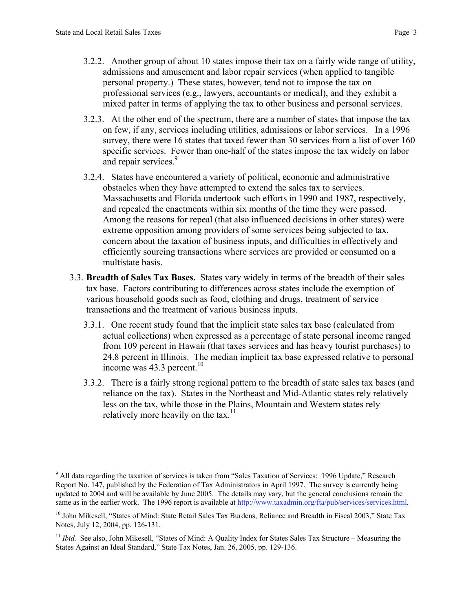- 3.2.2. Another group of about 10 states impose their tax on a fairly wide range of utility, admissions and amusement and labor repair services (when applied to tangible personal property.) These states, however, tend not to impose the tax on professional services (e.g., lawyers, accountants or medical), and they exhibit a mixed patter in terms of applying the tax to other business and personal services.
- 3.2.3. At the other end of the spectrum, there are a number of states that impose the tax on few, if any, services including utilities, admissions or labor services. In a 1996 survey, there were 16 states that taxed fewer than 30 services from a list of over 160 specific services. Fewer than one-half of the states impose the tax widely on labor and repair services.<sup>9</sup>
- 3.2.4. States have encountered a variety of political, economic and administrative obstacles when they have attempted to extend the sales tax to services. Massachusetts and Florida undertook such efforts in 1990 and 1987, respectively, and repealed the enactments within six months of the time they were passed. Among the reasons for repeal (that also influenced decisions in other states) were extreme opposition among providers of some services being subjected to tax, concern about the taxation of business inputs, and difficulties in effectively and efficiently sourcing transactions where services are provided or consumed on a multistate basis.
- 3.3. Breadth of Sales Tax Bases. States vary widely in terms of the breadth of their sales tax base. Factors contributing to differences across states include the exemption of various household goods such as food, clothing and drugs, treatment of service transactions and the treatment of various business inputs.
	- 3.3.1. One recent study found that the implicit state sales tax base (calculated from actual collections) when expressed as a percentage of state personal income ranged from 109 percent in Hawaii (that taxes services and has heavy tourist purchases) to 24.8 percent in Illinois. The median implicit tax base expressed relative to personal income was  $43.3$  percent.<sup>10</sup>
	- 3.3.2. There is a fairly strong regional pattern to the breadth of state sales tax bases (and reliance on the tax). States in the Northeast and Mid-Atlantic states rely relatively less on the tax, while those in the Plains, Mountain and Western states rely relatively more heavily on the tax. $<sup>11</sup>$ </sup>

<sup>-&</sup>lt;br>9 <sup>9</sup> All data regarding the taxation of services is taken from "Sales Taxation of Services: 1996 Update," Research Report No. 147, published by the Federation of Tax Administrators in April 1997. The survey is currently being updated to 2004 and will be available by June 2005. The details may vary, but the general conclusions remain the same as in the earlier work. The 1996 report is available at http://www.taxadmin.org/fta/pub/services/services.html.

<sup>&</sup>lt;sup>10</sup> John Mikesell, "States of Mind: State Retail Sales Tax Burdens, Reliance and Breadth in Fiscal 2003," State Tax Notes, July 12, 2004, pp. 126-131.

<sup>&</sup>lt;sup>11</sup> *Ibid.* See also, John Mikesell, "States of Mind: A Quality Index for States Sales Tax Structure – Measuring the States Against an Ideal Standard," State Tax Notes, Jan. 26, 2005, pp. 129-136.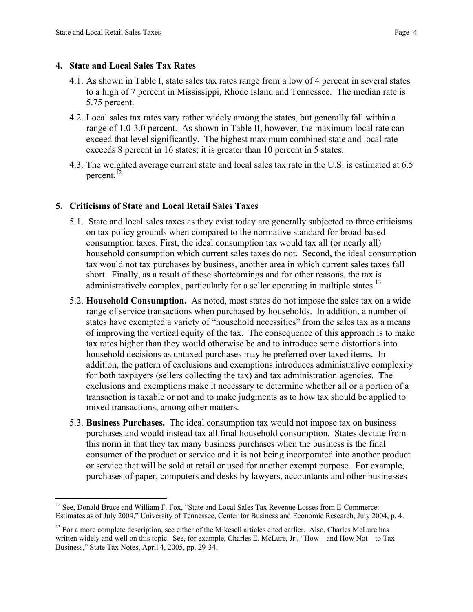#### 4. State and Local Sales Tax Rates

- 4.1. As shown in Table I, state sales tax rates range from a low of 4 percent in several states to a high of 7 percent in Mississippi, Rhode Island and Tennessee. The median rate is 5.75 percent.
- 4.2. Local sales tax rates vary rather widely among the states, but generally fall within a range of 1.0-3.0 percent. As shown in Table II, however, the maximum local rate can exceed that level significantly. The highest maximum combined state and local rate exceeds 8 percent in 16 states; it is greater than 10 percent in 5 states.
- 4.3. The weighted average current state and local sales tax rate in the U.S. is estimated at 6.5 percent.<sup>12</sup>

#### 5. Criticisms of State and Local Retail Sales Taxes

- 5.1. State and local sales taxes as they exist today are generally subjected to three criticisms on tax policy grounds when compared to the normative standard for broad-based consumption taxes. First, the ideal consumption tax would tax all (or nearly all) household consumption which current sales taxes do not. Second, the ideal consumption tax would not tax purchases by business, another area in which current sales taxes fall short. Finally, as a result of these shortcomings and for other reasons, the tax is administratively complex, particularly for a seller operating in multiple states.<sup>13</sup>
- 5.2. Household Consumption. As noted, most states do not impose the sales tax on a wide range of service transactions when purchased by households. In addition, a number of states have exempted a variety of "household necessities" from the sales tax as a means of improving the vertical equity of the tax. The consequence of this approach is to make tax rates higher than they would otherwise be and to introduce some distortions into household decisions as untaxed purchases may be preferred over taxed items. In addition, the pattern of exclusions and exemptions introduces administrative complexity for both taxpayers (sellers collecting the tax) and tax administration agencies. The exclusions and exemptions make it necessary to determine whether all or a portion of a transaction is taxable or not and to make judgments as to how tax should be applied to mixed transactions, among other matters.
- 5.3. Business Purchases. The ideal consumption tax would not impose tax on business purchases and would instead tax all final household consumption. States deviate from this norm in that they tax many business purchases when the business is the final consumer of the product or service and it is not being incorporated into another product or service that will be sold at retail or used for another exempt purpose. For example, purchases of paper, computers and desks by lawyers, accountants and other businesses

<sup>&</sup>lt;sup>12</sup> See, Donald Bruce and William F. Fox, "State and Local Sales Tax Revenue Losses from E-Commerce: Estimates as of July 2004," University of Tennessee, Center for Business and Economic Research, July 2004, p. 4.

<sup>&</sup>lt;sup>13</sup> For a more complete description, see either of the Mikesell articles cited earlier. Also, Charles McLure has written widely and well on this topic. See, for example, Charles E. McLure, Jr., "How – and How Not – to Tax Business," State Tax Notes, April 4, 2005, pp. 29-34.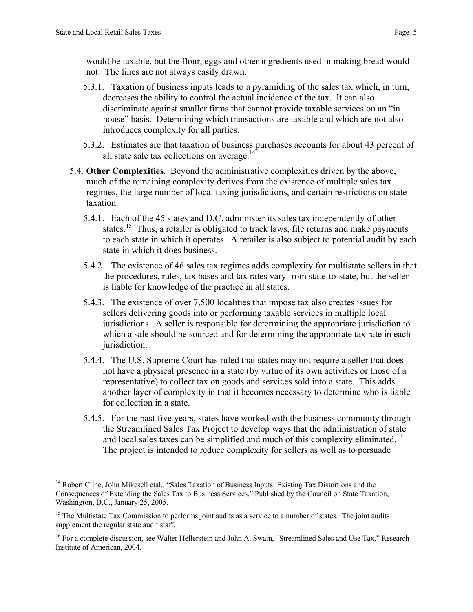would be taxable, but the flour, eggs and other ingredients used in making bread would not. The lines are not always easily drawn.

- 5.3.1. Taxation of business inputs leads to a pyramiding of the sales tax which, in turn, decreases the ability to control the actual incidence of the tax. It can also discriminate against smaller firms that cannot provide taxable services on an "in house" basis. Determining which transactions are taxable and which are not also introduces complexity for all parties.
- 5.3.2. Estimates are that taxation of business purchases accounts for about 43 percent of all state sale tax collections on average. $14$
- 5.4. Other Complexities. Beyond the administrative complexities driven by the above, much of the remaining complexity derives from the existence of multiple sales tax regimes, the large number of local taxing jurisdictions, and certain restrictions on state taxation.
	- 5.4.1. Each of the 45 states and D.C. administer its sales tax independently of other states.<sup>15</sup> Thus, a retailer is obligated to track laws, file returns and make payments to each state in which it operates. A retailer is also subject to potential audit by each state in which it does business.
	- 5.4.2. The existence of 46 sales tax regimes adds complexity for multistate sellers in that the procedures, rules, tax bases and tax rates vary from state-to-state, but the seller is liable for knowledge of the practice in all states.
	- 5.4.3. The existence of over 7,500 localities that impose tax also creates issues for sellers delivering goods into or performing taxable services in multiple local jurisdictions. A seller is responsible for determining the appropriate jurisdiction to which a sale should be sourced and for determining the appropriate tax rate in each jurisdiction.
	- 5.4.4. The U.S. Supreme Court has ruled that states may not require a seller that does not have a physical presence in a state (by virtue of its own activities or those of a representative) to collect tax on goods and services sold into a state. This adds another layer of complexity in that it becomes necessary to determine who is liable for collection in a state.
	- 5.4.5. For the past five years, states have worked with the business community through the Streamlined Sales Tax Project to develop ways that the administration of state and local sales taxes can be simplified and much of this complexity eliminated.<sup>16</sup> The project is intended to reduce complexity for sellers as well as to persuade

<sup>&</sup>lt;sup>14</sup> Robert Cline, John Mikesell etal., "Sales Taxation of Business Inputs: Existing Tax Distortions and the Consequences of Extending the Sales Tax to Business Services," Published by the Council on State Taxation, Washington, D.C., January 25, 2005.

<sup>&</sup>lt;sup>15</sup> The Multistate Tax Commission to performs joint audits as a service to a number of states. The joint audits supplement the regular state audit staff.

<sup>&</sup>lt;sup>16</sup> For a complete discussion, see Walter Hellerstein and John A. Swain, "Streamlined Sales and Use Tax," Research Institute of American, 2004.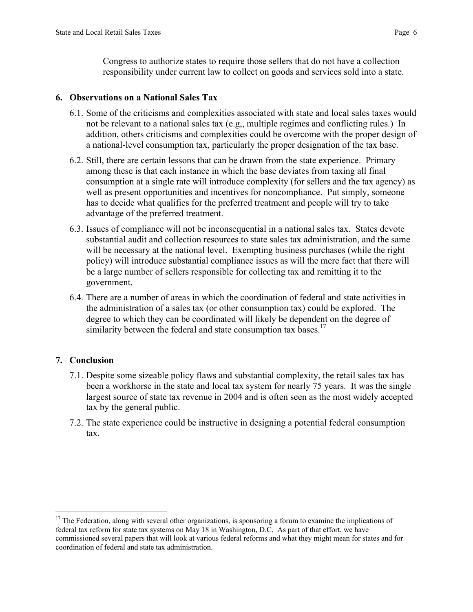Congress to authorize states to require those sellers that do not have a collection responsibility under current law to collect on goods and services sold into a state.

#### 6. Observations on a National Sales Tax

- 6.1. Some of the criticisms and complexities associated with state and local sales taxes would not be relevant to a national sales tax (e.g,, multiple regimes and conflicting rules.) In addition, others criticisms and complexities could be overcome with the proper design of a national-level consumption tax, particularly the proper designation of the tax base.
- 6.2. Still, there are certain lessons that can be drawn from the state experience. Primary among these is that each instance in which the base deviates from taxing all final consumption at a single rate will introduce complexity (for sellers and the tax agency) as well as present opportunities and incentives for noncompliance. Put simply, someone has to decide what qualifies for the preferred treatment and people will try to take advantage of the preferred treatment.
- 6.3. Issues of compliance will not be inconsequential in a national sales tax. States devote substantial audit and collection resources to state sales tax administration, and the same will be necessary at the national level. Exempting business purchases (while the right policy) will introduce substantial compliance issues as will the mere fact that there will be a large number of sellers responsible for collecting tax and remitting it to the government.
- 6.4. There are a number of areas in which the coordination of federal and state activities in the administration of a sales tax (or other consumption tax) could be explored. The degree to which they can be coordinated will likely be dependent on the degree of similarity between the federal and state consumption tax bases.<sup>17</sup>

### 7. Conclusion

- 7.1. Despite some sizeable policy flaws and substantial complexity, the retail sales tax has been a workhorse in the state and local tax system for nearly 75 years. It was the single largest source of state tax revenue in 2004 and is often seen as the most widely accepted tax by the general public.
- 7.2. The state experience could be instructive in designing a potential federal consumption tax.

<sup>&</sup>lt;sup>17</sup> The Federation, along with several other organizations, is sponsoring a forum to examine the implications of federal tax reform for state tax systems on May 18 in Washington, D.C. As part of that effort, we have commissioned several papers that will look at various federal reforms and what they might mean for states and for coordination of federal and state tax administration.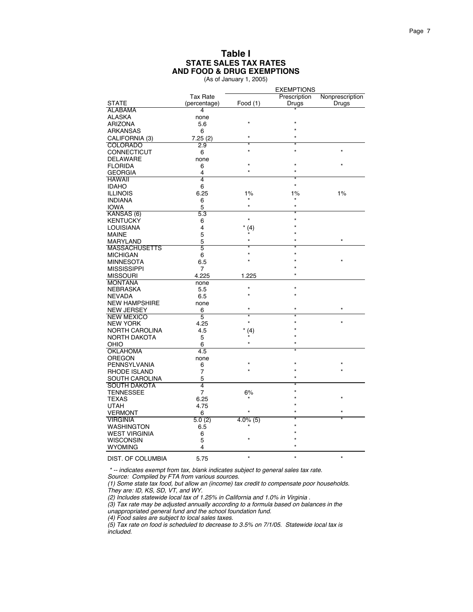(As of January 1, 2005)

|                       |                      | <b>EXEMPTIONS</b> |              |                 |
|-----------------------|----------------------|-------------------|--------------|-----------------|
|                       | <b>Tax Rate</b>      |                   | Prescription | Nonprescription |
| <b>STATE</b>          | (percentage)         | Food $(1)$        | Drugs        | Drugs           |
| <b>ALABAMA</b>        | 4                    |                   |              |                 |
| ALASKA                | none                 |                   |              |                 |
| <b>ARIZONA</b>        | 5.6                  |                   |              |                 |
| ARKANSAS              | 6                    |                   |              |                 |
|                       |                      |                   |              |                 |
| CALIFORNIA (3)        | 7.25(2)              |                   |              |                 |
| <b>COLORADO</b>       | $\overline{2.9}$     |                   |              |                 |
| CONNECTICUT           | 6                    |                   |              |                 |
| <b>DELAWARE</b>       | none                 |                   |              |                 |
| <b>FLORIDA</b>        | 6                    |                   |              |                 |
| <b>GEORGIA</b>        | 4                    |                   |              |                 |
| <b>HAWAII</b>         | 4                    |                   |              |                 |
| <b>IDAHO</b>          | 6                    |                   |              |                 |
| <b>ILLINOIS</b>       | 6.25                 | $1\%$             | $1\%$        | 1%              |
| <b>INDIANA</b>        | 6                    |                   |              |                 |
| <b>IOWA</b>           | 5                    | ×                 |              |                 |
| KANSAS (6)            | 5.3                  |                   |              |                 |
|                       |                      | $\star$           |              |                 |
| <b>KENTUCKY</b>       | 6                    |                   |              |                 |
| LOUISIANA             | 4                    | (4)               |              |                 |
| <b>MAINE</b>          | 5                    |                   |              |                 |
| <b>MARYLAND</b>       | 5                    |                   |              | $\star$         |
| <b>MASSACHUSETTS</b>  | 5                    |                   |              |                 |
| <b>MICHIGAN</b>       | 6                    |                   |              |                 |
| <b>MINNESOTA</b>      | 6.5                  |                   |              |                 |
| <b>MISSISSIPPI</b>    | 7                    |                   |              |                 |
| <b>MISSOURI</b>       | 4.225                | 1.225             |              |                 |
| <b>MONTANA</b>        | none                 |                   |              |                 |
| <b>NEBRASKA</b>       | 5.5                  |                   |              |                 |
| <b>NEVADA</b>         | 6.5                  |                   |              |                 |
| <b>NEW HAMPSHIRE</b>  | none                 |                   |              |                 |
|                       |                      |                   |              | $\star$         |
| <b>NEW JERSEY</b>     | 6                    |                   |              |                 |
| <b>NEW MEXICO</b>     | 5                    |                   |              |                 |
| <b>NEW YORK</b>       | 4.25                 |                   |              |                 |
| NORTH CAROLINA        | 4.5                  | (4)               |              |                 |
| <b>NORTH DAKOTA</b>   | 5                    |                   |              |                 |
| OHIO                  | 6                    |                   |              |                 |
| <b>OKLAHOMA</b>       | 4.5                  |                   |              |                 |
| OREGON                | none                 |                   |              |                 |
| PENNSYLVANIA          | 6                    |                   |              |                 |
| <b>RHODE ISLAND</b>   | 7                    |                   |              |                 |
| <b>SOUTH CAROLINA</b> | 5                    |                   |              |                 |
| <b>SOUTH DAKOTA</b>   | $\overline{4}$       |                   |              |                 |
| <b>TENNESSEE</b>      | $\overline{7}$       | 6%                |              |                 |
|                       |                      |                   |              |                 |
| <b>TEXAS</b>          | 6.25                 |                   |              |                 |
| UTAH                  | 4.75                 |                   |              |                 |
| <b>VERMONT</b>        | 6                    |                   |              |                 |
| <b>VIRGINIA</b>       | $\overline{5.0}$ (2) | $4.0\%$ (5)       |              |                 |
| <b>WASHINGTON</b>     | 6.5                  |                   |              |                 |
| <b>WEST VIRGINIA</b>  | 6                    |                   |              |                 |
| <b>WISCONSIN</b>      | 5                    |                   |              |                 |
| <b>WYOMING</b>        | 4                    |                   |              |                 |
|                       |                      |                   |              |                 |
| DIST. OF COLUMBIA     | 5.75                 |                   |              |                 |

 \* -- indicates exempt from tax, blank indicates subject to general sales tax rate. Source: Compiled by FTA from various sources.

(1) Some state tax food, but allow an (income) tax credit to compensate poor households. They are: ID, KS, SD, VT, and WY.

(2) Includes statewide local tax of 1.25% in California and 1.0% in Virginia .

(3) Tax rate may be adjusted annually according to a formula based on balances in the

unappropriated general fund and the school foundation fund.

(4) Food sales are subject to local sales taxes.

(5) Tax rate on food is scheduled to decrease to 3.5% on 7/1/05. Statewide local tax is included.